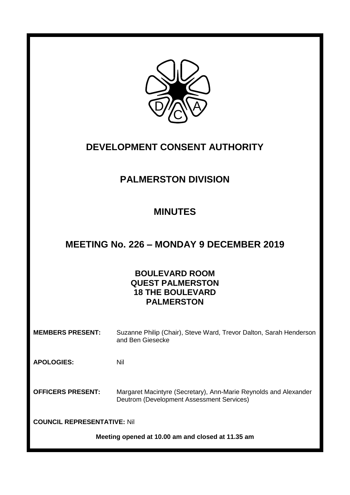

## **DEVELOPMENT CONSENT AUTHORITY**

# **PALMERSTON DIVISION**

## **MINUTES**

## **MEETING No. 226 – MONDAY 9 DECEMBER 2019**

## **BOULEVARD ROOM QUEST PALMERSTON 18 THE BOULEVARD PALMERSTON**

**MEMBERS PRESENT:** Suzanne Philip (Chair), Steve Ward, Trevor Dalton, Sarah Henderson and Ben Giesecke

**APOLOGIES:** Nil

**OFFICERS PRESENT:** Margaret Macintyre (Secretary), Ann-Marie Reynolds and Alexander Deutrom (Development Assessment Services)

**COUNCIL REPRESENTATIVE:** Nil

**Meeting opened at 10.00 am and closed at 11.35 am**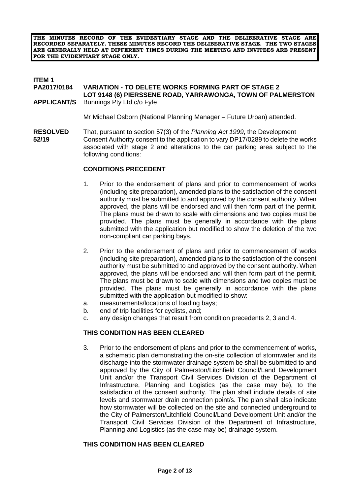**THE MINUTES RECORD OF THE EVIDENTIARY STAGE AND THE DELIBERATIVE STAGE ARE RECORDED SEPARATELY. THESE MINUTES RECORD THE DELIBERATIVE STAGE. THE TWO STAGES ARE GENERALLY HELD AT DIFFERENT TIMES DURING THE MEETING AND INVITEES ARE PRESENT FOR THE EVIDENTIARY STAGE ONLY.**

#### **ITEM 1**

#### **PA2017/0184 VARIATION - TO DELETE WORKS FORMING PART OF STAGE 2 LOT 9148 (6) PIERSSENE ROAD, YARRAWONGA, TOWN OF PALMERSTON APPLICANT/S** Bunnings Pty Ltd c/o Fyfe

Mr Michael Osborn (National Planning Manager – Future Urban) attended.

**RESOLVED** That, pursuant to section 57(3) of the *Planning Act 1999*, the Development **52/19** Consent Authority consent to the application to vary DP17/0289 to delete the works associated with stage 2 and alterations to the car parking area subject to the following conditions:

#### **CONDITIONS PRECEDENT**

- 1. Prior to the endorsement of plans and prior to commencement of works (including site preparation), amended plans to the satisfaction of the consent authority must be submitted to and approved by the consent authority. When approved, the plans will be endorsed and will then form part of the permit. The plans must be drawn to scale with dimensions and two copies must be provided. The plans must be generally in accordance with the plans submitted with the application but modified to show the deletion of the two non-compliant car parking bays.
- 2. Prior to the endorsement of plans and prior to commencement of works (including site preparation), amended plans to the satisfaction of the consent authority must be submitted to and approved by the consent authority. When approved, the plans will be endorsed and will then form part of the permit. The plans must be drawn to scale with dimensions and two copies must be provided. The plans must be generally in accordance with the plans submitted with the application but modified to show:
- a. measurements/locations of loading bays;
- b. end of trip facilities for cyclists, and;
- c. any design changes that result from condition precedents 2, 3 and 4.

#### **THIS CONDITION HAS BEEN CLEARED**

3. Prior to the endorsement of plans and prior to the commencement of works, a schematic plan demonstrating the on-site collection of stormwater and its discharge into the stormwater drainage system be shall be submitted to and approved by the City of Palmerston/Litchfield Council/Land Development Unit and/or the Transport Civil Services Division of the Department of Infrastructure, Planning and Logistics (as the case may be), to the satisfaction of the consent authority. The plan shall include details of site levels and stormwater drain connection point/s. The plan shall also indicate how stormwater will be collected on the site and connected underground to the City of Palmerston/Litchfield Council/Land Development Unit and/or the Transport Civil Services Division of the Department of Infrastructure, Planning and Logistics (as the case may be) drainage system.

#### **THIS CONDITION HAS BEEN CLEARED**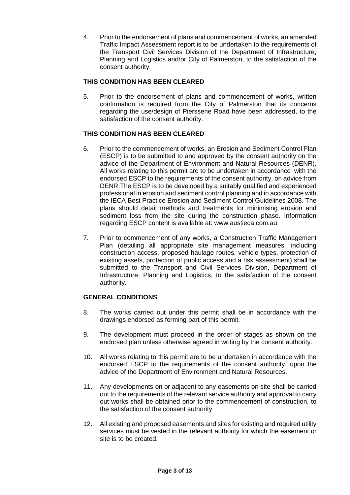4. Prior to the endorsement of plans and commencement of works, an amended Traffic Impact Assessment report is to be undertaken to the requirements of the Transport Civil Services Division of the Department of Infrastructure, Planning and Logistics and/or City of Palmerston, to the satisfaction of the consent authority.

## **THIS CONDITION HAS BEEN CLEARED**

5. Prior to the endorsement of plans and commencement of works, written confirmation is required from the City of Palmerston that its concerns regarding the use/design of Pierssene Road have been addressed, to the satisfaction of the consent authority.

## **THIS CONDITION HAS BEEN CLEARED**

- 6. Prior to the commencement of works, an Erosion and Sediment Control Plan (ESCP) is to be submitted to and approved by the consent authority on the advice of the Department of Environment and Natural Resources (DENR). All works relating to this permit are to be undertaken in accordance with the endorsed ESCP to the requirements of the consent authority, on advice from DENR.The ESCP is to be developed by a suitably qualified and experienced professional in erosion and sediment control planning and in accordance with the IECA Best Practice Erosion and Sediment Control Guidelines 2008. The plans should detail methods and treatments for minimising erosion and sediment loss from the site during the construction phase. Information regarding ESCP content is available at: www.austieca.com.au.
- 7. Prior to commencement of any works, a Construction Traffic Management Plan (detailing all appropriate site management measures, including construction access, proposed haulage routes, vehicle types, protection of existing assets, protection of public access and a risk assessment) shall be submitted to the Transport and Civil Services Division, Department of Infrastructure, Planning and Logistics, to the satisfaction of the consent authority.

## **GENERAL CONDITIONS**

- 8. The works carried out under this permit shall be in accordance with the drawings endorsed as forming part of this permit.
- 9. The development must proceed in the order of stages as shown on the endorsed plan unless otherwise agreed in writing by the consent authority.
- 10. All works relating to this permit are to be undertaken in accordance with the endorsed ESCP to the requirements of the consent authority, upon the advice of the Department of Environment and Natural Resources.
- 11. Any developments on or adjacent to any easements on site shall be carried out to the requirements of the relevant service authority and approval to carry out works shall be obtained prior to the commencement of construction, to the satisfaction of the consent authority
- 12. All existing and proposed easements and sites for existing and required utility services must be vested in the relevant authority for which the easement or site is to be created.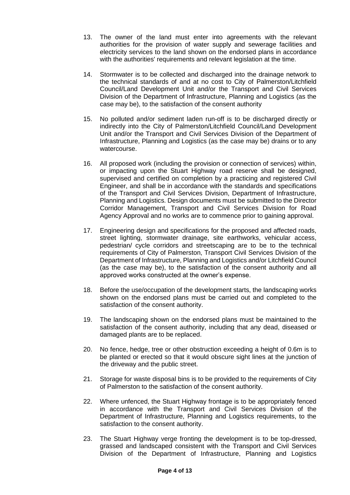- 13. The owner of the land must enter into agreements with the relevant authorities for the provision of water supply and sewerage facilities and electricity services to the land shown on the endorsed plans in accordance with the authorities' requirements and relevant legislation at the time.
- 14. Stormwater is to be collected and discharged into the drainage network to the technical standards of and at no cost to City of Palmerston/Litchfield Council/Land Development Unit and/or the Transport and Civil Services Division of the Department of Infrastructure, Planning and Logistics (as the case may be), to the satisfaction of the consent authority
- 15. No polluted and/or sediment laden run-off is to be discharged directly or indirectly into the City of Palmerston/Litchfield Council/Land Development Unit and/or the Transport and Civil Services Division of the Department of Infrastructure, Planning and Logistics (as the case may be) drains or to any watercourse.
- 16. All proposed work (including the provision or connection of services) within, or impacting upon the Stuart Highway road reserve shall be designed, supervised and certified on completion by a practicing and registered Civil Engineer, and shall be in accordance with the standards and specifications of the Transport and Civil Services Division, Department of Infrastructure, Planning and Logistics. Design documents must be submitted to the Director Corridor Management, Transport and Civil Services Division for Road Agency Approval and no works are to commence prior to gaining approval.
- 17. Engineering design and specifications for the proposed and affected roads, street lighting, stormwater drainage, site earthworks, vehicular access, pedestrian/ cycle corridors and streetscaping are to be to the technical requirements of City of Palmerston, Transport Civil Services Division of the Department of Infrastructure, Planning and Logistics and/or Litchfield Council (as the case may be), to the satisfaction of the consent authority and all approved works constructed at the owner's expense.
- 18. Before the use/occupation of the development starts, the landscaping works shown on the endorsed plans must be carried out and completed to the satisfaction of the consent authority.
- 19. The landscaping shown on the endorsed plans must be maintained to the satisfaction of the consent authority, including that any dead, diseased or damaged plants are to be replaced.
- 20. No fence, hedge, tree or other obstruction exceeding a height of 0.6m is to be planted or erected so that it would obscure sight lines at the junction of the driveway and the public street.
- 21. Storage for waste disposal bins is to be provided to the requirements of City of Palmerston to the satisfaction of the consent authority.
- 22. Where unfenced, the Stuart Highway frontage is to be appropriately fenced in accordance with the Transport and Civil Services Division of the Department of Infrastructure, Planning and Logistics requirements, to the satisfaction to the consent authority.
- 23. The Stuart Highway verge fronting the development is to be top-dressed, grassed and landscaped consistent with the Transport and Civil Services Division of the Department of Infrastructure, Planning and Logistics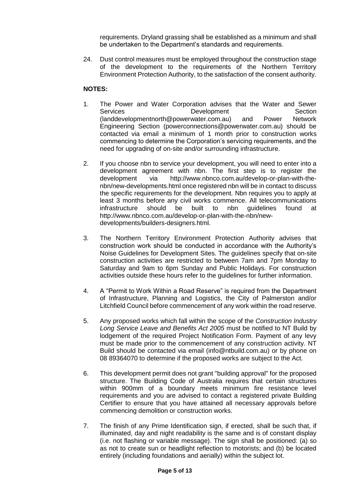requirements. Dryland grassing shall be established as a minimum and shall be undertaken to the Department's standards and requirements.

24. Dust control measures must be employed throughout the construction stage of the development to the requirements of the Northern Territory Environment Protection Authority, to the satisfaction of the consent authority.

#### **NOTES:**

- 1. The Power and Water Corporation advises that the Water and Sewer Services Development Section (landdevelopmentnorth@powerwater.com.au) and Power Network Engineering Section (powerconnections@powerwater.com.au) should be contacted via email a minimum of 1 month prior to construction works commencing to determine the Corporation's servicing requirements, and the need for upgrading of on-site and/or surrounding infrastructure.
- 2. If you choose nbn to service your development, you will need to enter into a development agreement with nbn. The first step is to register the development via http://www.nbnco.com.au/develop-or-plan-with-thenbn/new-developments.html once registered nbn will be in contact to discuss the specific requirements for the development. Nbn requires you to apply at least 3 months before any civil works commence. All telecommunications infrastructure should be built to nbn guidelines found at http://www.nbnco.com.au/develop-or-plan-with-the-nbn/newdevelopments/builders-designers.html.
- 3. The Northern Territory Environment Protection Authority advises that construction work should be conducted in accordance with the Authority's Noise Guidelines for Development Sites. The guidelines specify that on-site construction activities are restricted to between 7am and 7pm Monday to Saturday and 9am to 6pm Sunday and Public Holidays. For construction activities outside these hours refer to the guidelines for further information.
- 4. A "Permit to Work Within a Road Reserve" is required from the Department of Infrastructure, Planning and Logistics, the City of Palmerston and/or Litchfield Council before commencement of any work within the road reserve.
- 5. Any proposed works which fall within the scope of the *Construction Industry Long Service Leave and Benefits Act 2005* must be notified to NT Build by lodgement of the required Project Notification Form. Payment of any levy must be made prior to the commencement of any construction activity. NT Build should be contacted via email (info@ntbuild.com.au) or by phone on 08 89364070 to determine if the proposed works are subject to the Act.
- 6. This development permit does not grant "building approval" for the proposed structure. The Building Code of Australia requires that certain structures within 900mm of a boundary meets minimum fire resistance level requirements and you are advised to contact a registered private Building Certifier to ensure that you have attained all necessary approvals before commencing demolition or construction works.
- 7. The finish of any Prime Identification sign, if erected, shall be such that, if illuminated, day and night readability is the same and is of constant display (i.e. not flashing or variable message). The sign shall be positioned: (a) so as not to create sun or headlight reflection to motorists; and (b) be located entirely (including foundations and aerially) within the subject lot.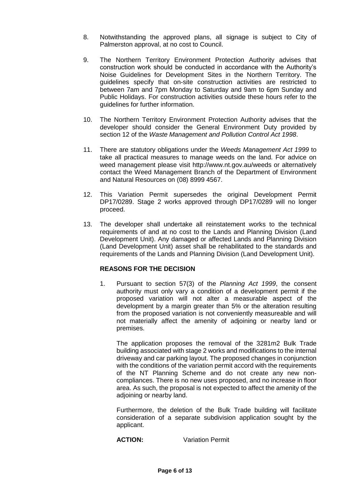- 8. Notwithstanding the approved plans, all signage is subject to City of Palmerston approval, at no cost to Council.
- 9. The Northern Territory Environment Protection Authority advises that construction work should be conducted in accordance with the Authority's Noise Guidelines for Development Sites in the Northern Territory. The guidelines specify that on-site construction activities are restricted to between 7am and 7pm Monday to Saturday and 9am to 6pm Sunday and Public Holidays. For construction activities outside these hours refer to the guidelines for further information.
- 10. The Northern Territory Environment Protection Authority advises that the developer should consider the General Environment Duty provided by section 12 of the *Waste Management and Pollution Control Act 1998*.
- 11. There are statutory obligations under the *Weeds Management Act 1999* to take all practical measures to manage weeds on the land. For advice on weed management please visit http://www.nt.gov.au/weeds or alternatively contact the Weed Management Branch of the Department of Environment and Natural Resources on (08) 8999 4567.
- 12. This Variation Permit supersedes the original Development Permit DP17/0289. Stage 2 works approved through DP17/0289 will no longer proceed.
- 13. The developer shall undertake all reinstatement works to the technical requirements of and at no cost to the Lands and Planning Division (Land Development Unit). Any damaged or affected Lands and Planning Division (Land Development Unit) asset shall be rehabilitated to the standards and requirements of the Lands and Planning Division (Land Development Unit).

## **REASONS FOR THE DECISION**

1. Pursuant to section 57(3) of the *Planning Act 1999*, the consent authority must only vary a condition of a development permit if the proposed variation will not alter a measurable aspect of the development by a margin greater than 5% or the alteration resulting from the proposed variation is not conveniently measureable and will not materially affect the amenity of adjoining or nearby land or premises.

The application proposes the removal of the 3281m2 Bulk Trade building associated with stage 2 works and modifications to the internal driveway and car parking layout. The proposed changes in conjunction with the conditions of the variation permit accord with the requirements of the NT Planning Scheme and do not create any new noncompliances. There is no new uses proposed, and no increase in floor area. As such, the proposal is not expected to affect the amenity of the adjoining or nearby land.

Furthermore, the deletion of the Bulk Trade building will facilitate consideration of a separate subdivision application sought by the applicant.

**ACTION:** Variation Permit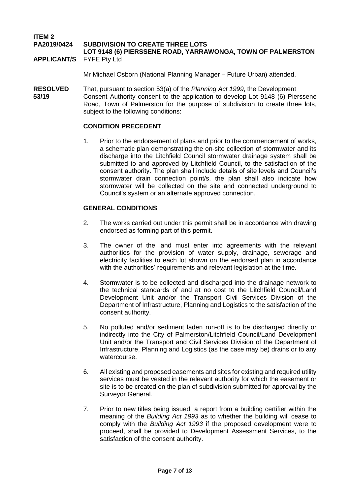**ITEM 2**

#### **PA2019/0424 SUBDIVISION TO CREATE THREE LOTS**

**LOT 9148 (6) PIERSSENE ROAD, YARRAWONGA, TOWN OF PALMERSTON APPLICANT/S** FYFE Pty Ltd

Mr Michael Osborn (National Planning Manager – Future Urban) attended.

**RESOLVED** That, pursuant to section 53(a) of the *Planning Act 1999*, the Development **53/19** Consent Authority consent to the application to develop Lot 9148 (6) Pierssene Road, Town of Palmerston for the purpose of subdivision to create three lots, subject to the following conditions:

#### **CONDITION PRECEDENT**

1. Prior to the endorsement of plans and prior to the commencement of works, a schematic plan demonstrating the on-site collection of stormwater and its discharge into the Litchfield Council stormwater drainage system shall be submitted to and approved by Litchfield Council, to the satisfaction of the consent authority. The plan shall include details of site levels and Council's stormwater drain connection point/s. the plan shall also indicate how stormwater will be collected on the site and connected underground to Council's system or an alternate approved connection.

#### **GENERAL CONDITIONS**

- 2. The works carried out under this permit shall be in accordance with drawing endorsed as forming part of this permit.
- 3. The owner of the land must enter into agreements with the relevant authorities for the provision of water supply, drainage, sewerage and electricity facilities to each lot shown on the endorsed plan in accordance with the authorities' requirements and relevant legislation at the time.
- 4. Stormwater is to be collected and discharged into the drainage network to the technical standards of and at no cost to the Litchfield Council/Land Development Unit and/or the Transport Civil Services Division of the Department of Infrastructure, Planning and Logistics to the satisfaction of the consent authority.
- 5. No polluted and/or sediment laden run-off is to be discharged directly or indirectly into the City of Palmerston/Litchfield Council/Land Development Unit and/or the Transport and Civil Services Division of the Department of Infrastructure, Planning and Logistics (as the case may be) drains or to any watercourse.
- 6. All existing and proposed easements and sites for existing and required utility services must be vested in the relevant authority for which the easement or site is to be created on the plan of subdivision submitted for approval by the Surveyor General.
- 7. Prior to new titles being issued, a report from a building certifier within the meaning of the *Building Act 1993* as to whether the building will cease to comply with the *Building Act 1993* if the proposed development were to proceed, shall be provided to Development Assessment Services, to the satisfaction of the consent authority.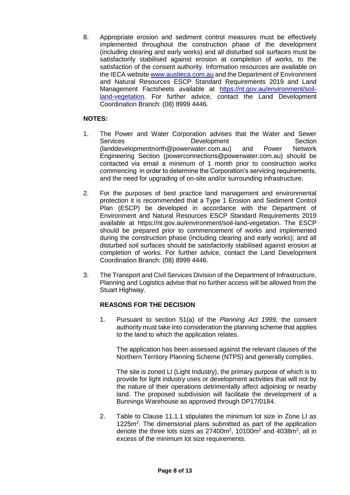8. Appropriate erosion and sediment control measures must be effectively implemented throughout the construction phase of the development (including clearing and early works) and all disturbed soil surfaces must be satisfactorily stabilised against erosion at completion of works, to the satisfaction of the consent authority. Information resources are available on the IECA website [www.austieca.com.au](http://www.austieca.com.au/) and the Department of Environment and Natural Resources ESCP Standard Requirements 2019 and Land Management Factsheets available at [https://nt.gov.au/environment/soil](https://nt.gov.au/environment/soil-land-vegetation)[land-vegetation.](https://nt.gov.au/environment/soil-land-vegetation) For further advice, contact the Land Development Coordination Branch: (08) 8999 4446.

### **NOTES:**

- 1. The Power and Water Corporation advises that the Water and Sewer Services **Development** Development Section [\(landdevelopmentnorth@powerwater.com.au\)](mailto:landdevelopmentnorth@powerwater.com.au) and Power Network Engineering Section [\(powerconnections@powerwater.com.au\)](mailto:powerconnections@powerwater.com.au) should be contacted via email a minimum of 1 month prior to construction works commencing in order to determine the Corporation's servicing requirements, and the need for upgrading of on-site and/or surrounding infrastructure.
- 2. For the purposes of best practice land management and environmental protection it is recommended that a Type 1 Erosion and Sediment Control Plan (ESCP) be developed in accordance with the Department of Environment and Natural Resources ESCP Standard Requirements 2019 available at [https://nt.gov.au/environment/soil-land-vegetation.](https://nt.gov.au/environment/soil-land-vegetation) The ESCP should be prepared prior to commencement of works and implemented during the construction phase (including clearing and early works); and all disturbed soil surfaces should be satisfactorily stabilised against erosion at completion of works. For further advice, contact the Land Development Coordination Branch: (08) 8999 4446.
- 3. The Transport and Civil Services Division of the Department of Infrastructure, Planning and Logistics advise that no further access will be allowed from the Stuart Highway.

## **REASONS FOR THE DECISION**

1. Pursuant to section 51(a) of the *Planning Act 1999,* the consent authority must take into consideration the planning scheme that applies to the land to which the application relates.

The application has been assessed against the relevant clauses of the Northern Territory Planning Scheme (NTPS) and generally complies.

The site is zoned LI (Light Industry), the primary purpose of which is to provide for light industry uses or development activities that will not by the nature of their operations detrimentally affect adjoining or nearby land. The proposed subdivision will facilitate the development of a Bunnings Warehouse as approved through DP17/0184.

2. Table to Clause 11.1.1 stipulates the minimum lot size in Zone LI as 1225m<sup>2</sup>. The dimensional plans submitted as part of the application denote the three lots sizes as  $27400m^2$ , 10100 $m^2$  and 4038 $m^2$ , all in excess of the minimum lot size requirements.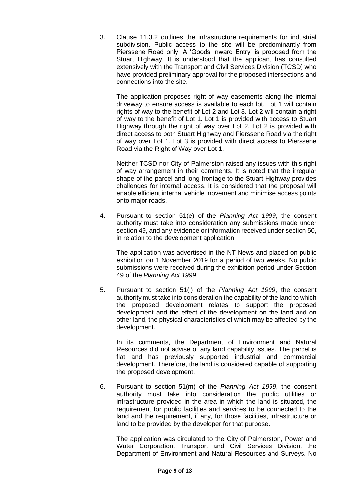3. Clause 11.3.2 outlines the infrastructure requirements for industrial subdivision. Public access to the site will be predominantly from Pierssene Road only. A 'Goods Inward Entry' is proposed from the Stuart Highway. It is understood that the applicant has consulted extensively with the Transport and Civil Services Division (TCSD) who have provided preliminary approval for the proposed intersections and connections into the site.

The application proposes right of way easements along the internal driveway to ensure access is available to each lot. Lot 1 will contain rights of way to the benefit of Lot 2 and Lot 3. Lot 2 will contain a right of way to the benefit of Lot 1. Lot 1 is provided with access to Stuart Highway through the right of way over Lot 2. Lot 2 is provided with direct access to both Stuart Highway and Pierssene Road via the right of way over Lot 1. Lot 3 is provided with direct access to Pierssene Road via the Right of Way over Lot 1.

Neither TCSD nor City of Palmerston raised any issues with this right of way arrangement in their comments. It is noted that the irregular shape of the parcel and long frontage to the Stuart Highway provides challenges for internal access. It is considered that the proposal will enable efficient internal vehicle movement and minimise access points onto major roads.

4. Pursuant to section 51(e) of the *Planning Act 1999*, the consent authority must take into consideration any submissions made under section 49, and any evidence or information received under section 50, in relation to the development application

The application was advertised in the NT News and placed on public exhibition on 1 November 2019 for a period of two weeks. No public submissions were received during the exhibition period under Section 49 of the *Planning Act 1999*.

5. Pursuant to section 51(j) of the *Planning Act 1999*, the consent authority must take into consideration the capability of the land to which the proposed development relates to support the proposed development and the effect of the development on the land and on other land, the physical characteristics of which may be affected by the development.

In its comments, the Department of Environment and Natural Resources did not advise of any land capability issues. The parcel is flat and has previously supported industrial and commercial development. Therefore, the land is considered capable of supporting the proposed development.

6. Pursuant to section 51(m) of the *Planning Act 1999*, the consent authority must take into consideration the public utilities or infrastructure provided in the area in which the land is situated, the requirement for public facilities and services to be connected to the land and the requirement, if any, for those facilities, infrastructure or land to be provided by the developer for that purpose.

The application was circulated to the City of Palmerston, Power and Water Corporation, Transport and Civil Services Division, the Department of Environment and Natural Resources and Surveys. No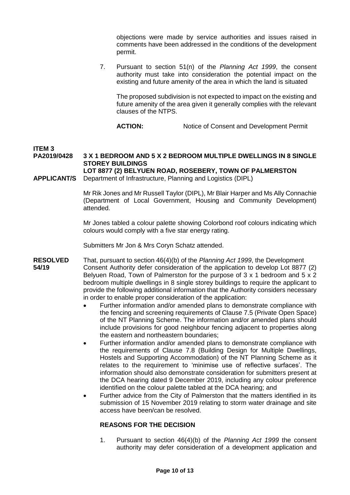objections were made by service authorities and issues raised in comments have been addressed in the conditions of the development permit.

7. Pursuant to section 51(n) of the *Planning Act 1999*, the consent authority must take into consideration the potential impact on the existing and future amenity of the area in which the land is situated

The proposed subdivision is not expected to impact on the existing and future amenity of the area given it generally complies with the relevant clauses of the NTPS.

ACTION: Notice of Consent and Development Permit

## **ITEM 3**

**PA2019/0428 3 X 1 BEDROOM AND 5 X 2 BEDROOM MULTIPLE DWELLINGS IN 8 SINGLE STOREY BUILDINGS LOT 8877 (2) BELYUEN ROAD, ROSEBERY, TOWN OF PALMERSTON** 

**APPLICANT/S** Department of Infrastructure, Planning and Logistics (DIPL)

Mr Rik Jones and Mr Russell Taylor (DIPL), Mr Blair Harper and Ms Ally Connachie (Department of Local Government, Housing and Community Development) attended.

Mr Jones tabled a colour palette showing Colorbond roof colours indicating which colours would comply with a five star energy rating.

Submitters Mr Jon & Mrs Coryn Schatz attended.

- **RESOLVED** That, pursuant to section 46(4)(b) of the *Planning Act 1999*, the Development **54/19** Consent Authority defer consideration of the application to develop Lot 8877 (2) Belyuen Road, Town of Palmerston for the purpose of 3 x 1 bedroom and 5 x 2 bedroom multiple dwellings in 8 single storey buildings to require the applicant to provide the following additional information that the Authority considers necessary in order to enable proper consideration of the application:
	- Further information and/or amended plans to demonstrate compliance with the fencing and screening requirements of Clause 7.5 (Private Open Space) of the NT Planning Scheme. The information and/or amended plans should include provisions for good neighbour fencing adjacent to properties along the eastern and northeastern boundaries;
	- Further information and/or amended plans to demonstrate compliance with the requirements of Clause 7.8 (Building Design for Multiple Dwellings, Hostels and Supporting Accommodation) of the NT Planning Scheme as it relates to the requirement to 'minimise use of reflective surfaces'. The information should also demonstrate consideration for submitters present at the DCA hearing dated 9 December 2019, including any colour preference identified on the colour palette tabled at the DCA hearing; and
	- Further advice from the City of Palmerston that the matters identified in its submission of 15 November 2019 relating to storm water drainage and site access have been/can be resolved.

#### **REASONS FOR THE DECISION**

1. Pursuant to section 46(4)(b) of the *Planning Act 1999* the consent authority may defer consideration of a development application and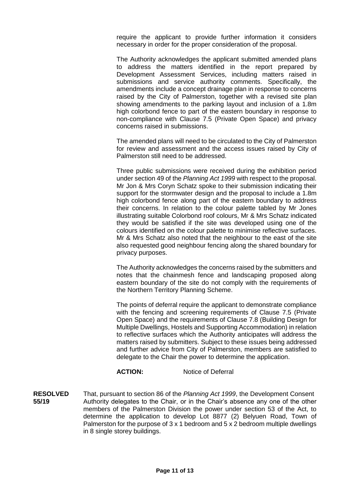require the applicant to provide further information it considers necessary in order for the proper consideration of the proposal.

The Authority acknowledges the applicant submitted amended plans to address the matters identified in the report prepared by Development Assessment Services, including matters raised in submissions and service authority comments. Specifically, the amendments include a concept drainage plan in response to concerns raised by the City of Palmerston, together with a revised site plan showing amendments to the parking layout and inclusion of a 1.8m high colorbond fence to part of the eastern boundary in response to non-compliance with Clause 7.5 (Private Open Space) and privacy concerns raised in submissions.

The amended plans will need to be circulated to the City of Palmerston for review and assessment and the access issues raised by City of Palmerston still need to be addressed.

Three public submissions were received during the exhibition period under section 49 of the *Planning Act 1999* with respect to the proposal. Mr Jon & Mrs Coryn Schatz spoke to their submission indicating their support for the stormwater design and the proposal to include a 1.8m high colorbond fence along part of the eastern boundary to address their concerns. In relation to the colour palette tabled by Mr Jones illustrating suitable Colorbond roof colours, Mr & Mrs Schatz indicated they would be satisfied if the site was developed using one of the colours identified on the colour palette to minimise reflective surfaces. Mr & Mrs Schatz also noted that the neighbour to the east of the site also requested good neighbour fencing along the shared boundary for privacy purposes.

The Authority acknowledges the concerns raised by the submitters and notes that the chainmesh fence and landscaping proposed along eastern boundary of the site do not comply with the requirements of the Northern Territory Planning Scheme.

The points of deferral require the applicant to demonstrate compliance with the fencing and screening requirements of Clause 7.5 (Private Open Space) and the requirements of Clause 7.8 (Building Design for Multiple Dwellings, Hostels and Supporting Accommodation) in relation to reflective surfaces which the Authority anticipates will address the matters raised by submitters. Subject to these issues being addressed and further advice from City of Palmerston, members are satisfied to delegate to the Chair the power to determine the application.

#### **ACTION:** Notice of Deferral

**RESOLVED** That, pursuant to section 86 of the *Planning Act 1999*, the Development Consent **55/19** Authority delegates to the Chair, or in the Chair's absence any one of the other members of the Palmerston Division the power under section 53 of the Act, to determine the application to develop Lot 8877 (2) Belyuen Road, Town of Palmerston for the purpose of 3 x 1 bedroom and 5 x 2 bedroom multiple dwellings in 8 single storey buildings.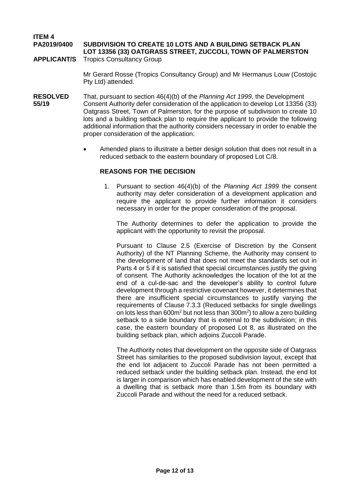**ITEM 4 PA2019/0400 SUBDIVISION TO CREATE 10 LOTS AND A BUILDING SETBACK PLAN LOT 13356 (33) OATGRASS STREET, ZUCCOLI, TOWN OF PALMERSTON**

**APPLICANT/S** Tropics Consultancy Group

Mr Gerard Rosse (Tropics Consultancy Group) and Mr Hermanus Louw (Costojic Pty Ltd) attended.

- **RESOLVED** That, pursuant to section 46(4)(b) of the *Planning Act 1999*, the Development **55/19** Consent Authority defer consideration of the application to develop Lot 13356 (33) Oatgrass Street, Town of Palmerston, for the purpose of subdivision to create 10 lots and a building setback plan to require the applicant to provide the following additional information that the authority considers necessary in order to enable the proper consideration of the application:
	- Amended plans to illustrate a better design solution that does not result in a reduced setback to the eastern boundary of proposed Lot C/8.

#### **REASONS FOR THE DECISION**

1. Pursuant to section 46(4)(b) of the *Planning Act 1999* the consent authority may defer consideration of a development application and require the applicant to provide further information it considers necessary in order for the proper consideration of the proposal.

The Authority determines to defer the application to provide the applicant with the opportunity to revisit the proposal.

Pursuant to Clause 2.5 (Exercise of Discretion by the Consent Authority) of the NT Planning Scheme, the Authority may consent to the development of land that does not meet the standards set out in Parts 4 or 5 if it is satisfied that special circumstances justify the giving of consent. The Authority acknowledges the location of the lot at the end of a cul-de-sac and the developer's ability to control future development through a restrictive covenant however, it determines that there are insufficient special circumstances to justify varying the requirements of Clause 7.3.3 (Reduced setbacks for single dwellings on lots less than  $600m^2$  but not less than  $300m^2$ ) to allow a zero building setback to a side boundary that is external to the subdivision; in this case, the eastern boundary of proposed Lot 8, as illustrated on the building setback plan, which adjoins Zuccoli Parade.

The Authority notes that development on the opposite side of Oatgrass Street has similarities to the proposed subdivision layout, except that the end lot adjacent to Zuccoli Parade has not been permitted a reduced setback under the building setback plan. Instead, the end lot is larger in comparison which has enabled development of the site with a dwelling that is setback more than 1.5m from its boundary with Zuccoli Parade and without the need for a reduced setback.